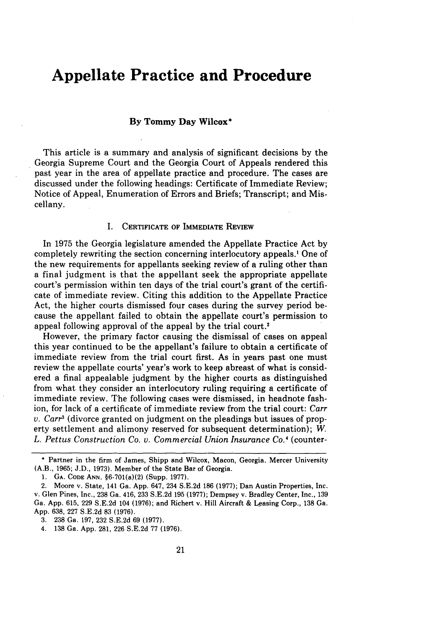# **Appellate Practice and Procedure**

## **By Tommy Day Wilcox\***

This article is a summary and analysis of significant decisions by the Georgia Supreme Court and the Georgia Court of Appeals rendered this past year in the area of appellate practice and procedure. The cases are discussed under the following headings: Certificate of Immediate Review; Notice of Appeal, Enumeration of Errors and Briefs; Transcript; and Miscellany.

### I. **CERTIFICATE** OF IMMEDIATE REVIEW

In 1975 the Georgia legislature amended the Appellate Practice Act by completely rewriting the section concerning interlocutory appeals.' One of the new requirements for appellants seeking review of a ruling other than a final judgment is that the appellant seek the appropriate appellate court's permission within ten days of the trial court's grant of the certificate of immediate review. Citing this addition to the Appellate Practice Act, the higher courts dismissed four cases during the survey period because the appellant failed to obtain the appellate court's permission to appeal following approval of the appeal by the trial court.2

However, the primary factor causing the dismissal of cases on appeal this year continued to be the appellant's failure to obtain a certificate of immediate review from the trial court first. As in years past one must review the appellate courts' year's work to keep abreast of what is considered a final appealable judgment by the higher courts as distinguished from what they consider an interlocutory ruling requiring a certificate of immediate review. The following cases were dismissed, in headnote fashion, for lack of a certificate of immediate review from the trial court: *Carr v. Carr3* (divorce granted on judgment on the pleadings but issues of property settlement and alimony reserved for subsequent determination); *W. L. Pettus Construction Co. v. Commercial Union Insurance Co.'* (counter-

<sup>\*</sup> Partner in the firm of James, Shipp and Wilcox, Macon, Georgia. Mercer University (A.B., 1965; J.D., 1973). Member of the State Bar of Georgia.

<sup>1.</sup> **GA. CODE ANN.** §6-701(a)(2) (Supp. 1977).

<sup>2.</sup> Moore v. State, 141 Ga. App. 647, 234 S.E.2d 186 (1977); Dan Austin Properties, Inc. v. Glen Pines, Inc., 238 Ga. 416, 233 S.E.2d 195 (1977); Dempsey v. Bradley Center, Inc., 139 Ga. App. 615, 229 S.E.2d 104 (1976); and Richert v. Hill Aircraft & Leasing Corp., 138 Ga. App. 638, 227 S.E.2d 83 (1976).

<sup>3. 238</sup> Ga. 197, 232 S.E.2d 69 (1977).

<sup>4. 138</sup> Ga. App. 281, 226 S.E.2d 77 (1976).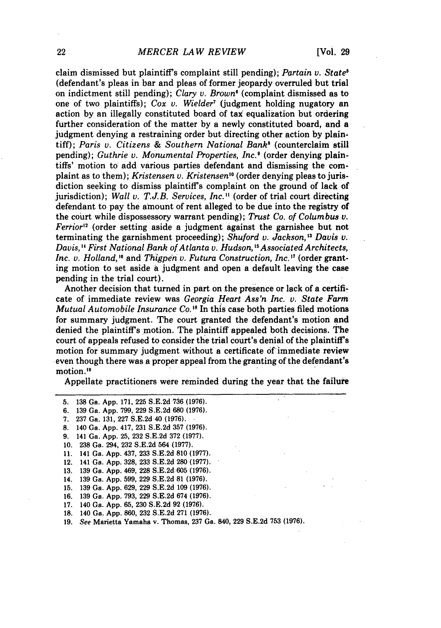claim dismissed but plaintiff's complaint still pending); *Partain v. State5* (defendant's pleas in bar and pleas of former jeopardy overruled but trial on indictment still pending); *Clary v. Brown'* (complaint dismissed as to one of two plaintiffs); *Cox v. Wielder7* (judgment holding nugatory an action by an illegally constituted board of tax equalization but ordering further consideration of the matter by a newly constituted board, and a judgment denying a restraining order but directing other action by plaintiff); *Paris v. Citizens & Southern National Bank8* (counterclaim still pending); *Guthrie v. Monumental Properties, Inc.'* (order denying plaintiffs' motion to add various parties defendant and dismissing the complaint as to them); *Kristensen v. Kristensen'0* (order denying pleas to jurisdiction seeking to dismiss plaintiff's complaint on the ground of lack of jurisdiction); *Wall v. T.J.B. Services, Inc."* (order of trial court directing defendant to pay the amount of rent alleged to be due into the registry of the court while dispossessory warrant pending); *Trust Co. of Columbus v. Ferrior*<sup>12</sup> (order setting aside a judgment against the garnishee but not terminating the garnishment proceeding); *Shuford v. Jackson, 3 Davis v. Davis,' First National Bank of Atlanta v. Hudson, "Associated Architects, Inc. v. Holland, 6* and *Thigpen v. Futura Construction, Inc.* **'7** (order granting motion to set aside a judgment and open a default leaving the case pending in the trial court).

Another decision that turned in part on the presence or lack of a certificate of immediate review was *Georgia Heart Ass'n Inc. v. State Farm Mutual Automobile Insurance Co. ' <sup>8</sup>*In this case both parties filed motions for summary judgment. The court granted the defendant's motion and denied the plaintiff's motion. The plaintiff appealed both decisions. The court of appeals refused to consider the trial court's denial of the plaintiff's motion for summary judgment without a certificate of immediate review even though there was a proper appeal from the granting of the defendant's motion.<sup>19</sup>

Appellate practitioners were reminded during the year that the failure

5. 138 Ga. App. 171, **225** S.E.2d 736 (1976). 6. 139 Ga. App. 799, 229 S.E.2d 680 (1976). 7. 237 Ga. 131, 227 S.E.2d 40 (1976). **8.** 140 Ga. App. 417, 231 S.E.2d 357 (1976). 9. 141 Ga. App. 25, 232 S.E.2d 372 (1977). 10. 238 Ga. 294, 232 S.E.2d 564 (1977). **11.** 141 Ga. App. 437, **233** S.E.2d **810 (1977).** 12. 141 Ga. App. 328, **233** S.E.2d 280 (1977). 13. 139 Ga. App. 469, **228** S.E.2d: 605 (1976). 14. 139 Ga. App. 599, 229 S.E.2d 81 (1976). 15. 139 Ga. App. 629, **229** S.E.2d 109 (1976). 16. 139 Ga. App. 793, 229 S.E.2d 674 (1976). 17. 140 Ga. App. 65, 230 S.E.2d 92 (1976). **18.** 140 Ga. App. 860, **232** S.E.2d 271 (1976).

19. See Marietta Yamaha v. Thomas, 237 Ga. 840, 229 S.E.2d 753 (1976).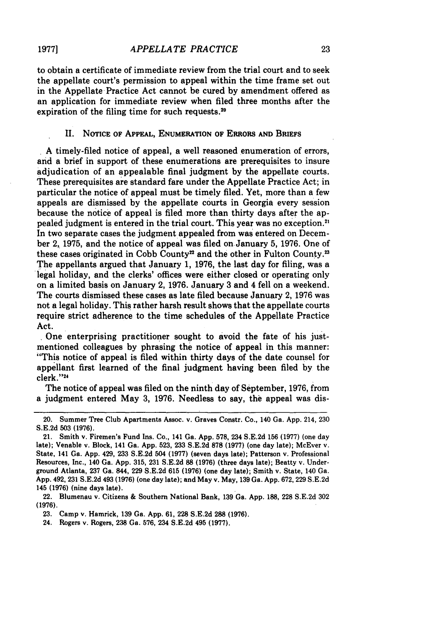**1977]**

to obtain a certificate of immediate review from the trial court and to seek the appellate court's permission to appeal within the time frame set out in the Appellate Practice Act cannot be cured by amendment offered as an application for immediate review when filed three months after the expiration of the filing time for such requests. $20$ 

#### II. **NOTICE OF APPEAL, ENUMERATION OF ERRORS AND BRIEFS**

**A** timely-filed notice of appeal, a well reasoned enumeration of errors, and a brief in support of these enumerations are prerequisites to insure adjudication of an appealable final judgment **by** the appellate courts. These prerequisites are standard fare under the Appellate Practice Act; in particular the notice of appeal must be timely filed. Yet, more than a few appeals are dismissed **by** the appellate courts in Georgia every session because the notice of appeal is filed more than thirty days after the appealed judgment **is** entered in the trial court. This year was no exception.<sup>2</sup> In two separate cases the judgment appealed from was entered on December 2, **1975,** and the notice of appeal was filed on January **5, 1976.** One of these cases originated in Cobb County<sup>22</sup> and the other in Fulton County.<sup>23</sup> The appellants argued that January **1, 1976,** the last day for filing, was a legal holiday, and the clerks' offices were either closed or operating only on a limited basis on January 2, **1976.** January **3** and 4 fell on a weekend. The courts dismissed these cases as late filed because January 2, **1976** was not a legal holiday. This rather harsh result shows that the appellate courts require strict adherence to the time schedules of the Appellate Practice Act.

One enterprising practitioner sought to avoid the fate of his justmentioned colleagues **by** phrasing the notice of appeal in this manner: "This notice of appeal is filed within thirty days of the date counsel for appellant first learned of the final judgment having been filed **by** the clerk."24

The notice of appeal was filed on the ninth day of September, **1976,** from a judgment entered May **3, 1976.** Needless to say, the appeal was dis-

<sup>20.</sup> Summer Tree Club Apartments Assoc. v. Graves Constr. Co., 140 Ga. **App.** 214, **230 S.E.2d 503 (1976).**

<sup>21.</sup> Smith v. Firemen's Fund Ins. Co., 141 Ga. **App. 578,** 234 **S.E.2d** 156 **(1977)** (one day late); Venable v. Block, 141 Ga. **App. 523, 233 S.E.2d 878 (1977)** (one day late); McEver v. State, 141 Ga. **App.** 429, **233 S.E.2d** 504 **(1977)** (seven days late); Patterson v. Professional Resources, Inc., 140 Ga. **App. 315, 231 S.E.2d** 88 **(1976)** (three days late); Beatty v. Underground Atlanta, **237** Ga. 844, **229 S.E.2d 615 (1976)** (one day late); Smith v. State, 140 Ga. **App.** 492, 231 **S.E.2d** 493 **(1976)** (one day late); and May v. May, **139** Ga. **App. 672, 229 S.E.2d** 145 **(1976)** (nine days late).

<sup>22.</sup> Blumenau v. Citizens **&** Southern National Bank, 139 Ga. **App. 188, 228 S.E.2d 302 (1976).**

**<sup>23.</sup>** Camp v. Hamrick, **139** Ga. **App. 61, 228 S.E.2d 288 (1976).**

<sup>24.</sup> Rogers v. Rogers, **238** Ga. **576,** 234 **S.E.2d** 495 **(1977).**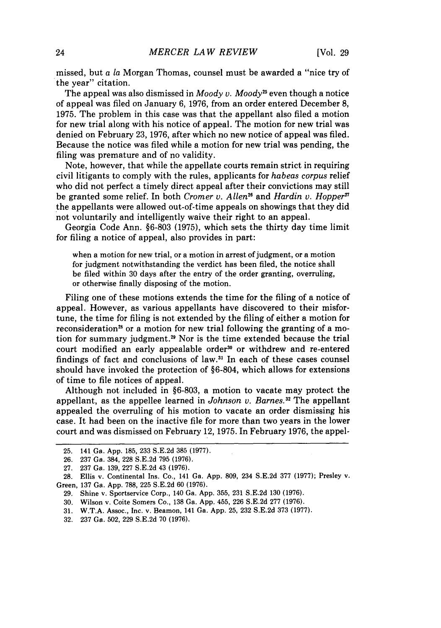missed, but a *la* Morgan Thomas, counsel must be awarded a "nice try of the year" citation.

The appeal was also dismissed in  $Mody$  v.  $Mody$ <sup>25</sup> even though a notice of appeal was filed on January 6, 1976, from an order entered December 8, 1975. The problem in this case was that the appellant also filed a motion for new trial along with his notice of appeal. The motion for new trial was denied on February 23, 1976, after which no new notice of appeal was filed. Because the notice was filed while a motion for new trial was pending, the filing was premature and of no validity.

Note, however, that while the appellate courts remain strict in requiring civil litigants to comply with the rules, applicants for *habeas corpus* relief who did not perfect a timely direct appeal after their convictions may still be granted some relief. In both *Cromer v. Allen*<sup>26</sup> and *Hardin v. Hopper*<sup>*n*</sup> the appellants were allowed out-of-time appeals on showings that they did not voluntarily and intelligently waive their right to an appeal.

Georgia Code Ann. §6-803 (1975), which sets the thirty day time limit for filing a notice of appeal, also provides in part:

when a motion for new trial, or a motion in arrest of judgment, or a motion for judgment notwithstanding the verdict has been filed, the notice shall be filed within 30 days after the entry of the order granting, overruling, or otherwise finally disposing of the motion.

Filing one of these motions extends the time for the filing of a notice of appeal. However, as various appellants have discovered to their misfortune, the time for filing is not extended by the filing of either a motion for reconsideration<sup>28</sup> or a motion for new trial following the granting of a motion for summary judgment.<sup>29</sup> Nor is the time extended because the trial court modified an early appealable order<sup>30</sup> or withdrew and re-entered findings of fact and conclusions of law.<sup>31</sup> In each of these cases counsel should have invoked the protection of §6-804, which allows for extensions of time to file notices of appeal.

Although not included in §6-803, a motion to vacate may protect the appellant, as the appellee learned in *Johnson v. Barnes.3* The appellant appealed the overruling of his motion to vacate an order dismissing his case. It had been on the inactive file for more than two years in the lower court and was dismissed on February 12, 1975. In February 1976, the appel-

<sup>25. 141</sup> Ga. App. 185, 233 S.E.2d 385 (1977).

<sup>26. 237</sup> Ga. 384, 228 S.E.2d 795 (1976).

<sup>27. 237</sup> Ga. 139, 227 S.E.2d 43 (1976).

<sup>28.</sup> Ellis v. Continental Ins. Co., 141 Ga. App. 809, 234 S.E.2d 377 (1977); Presley v. Green, 137 Ga. App. 788, 225 S.E.2d 60 (1976).

<sup>29.</sup> Shine v. Sportservice Corp., 140 Ga. App. 355, 231 S.E.2d 130 (1976).

<sup>30.</sup> Wilson v. Coite Somers Co., 138 Ga. App. 455, 226 S.E.2d 277 (1976).

<sup>31.</sup> W.T.A. Assoc., Inc. v. Beamon, 141 Ga. App. 25, 232 S.E.2d 373 (1977).

<sup>32. 237</sup> Ga. 502, 229 S.E.2d 70 (1976).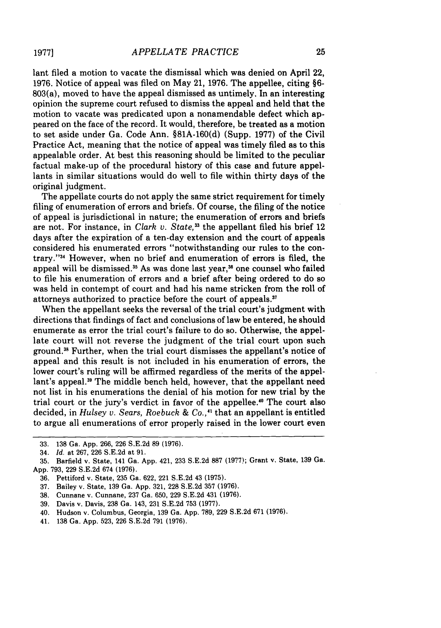lant filed a motion to vacate the dismissal which was denied on April 22, 1976. Notice of appeal was filed on May 21, 1976. The appellee, citing §6- 803(a), moved to have the appeal dismissed as untimely. In an interesting opinion the supreme court refused to dismiss the appeal and held that the motion to vacate was predicated upon a nonamendable defect which appeared on the face of the record. It would, therefore, be treated as a motion to set aside under Ga. Code Ann. §81A-160(d) (Supp. 1977) of the Civil Practice Act, meaning that the notice of appeal was timely filed as to this appealable order. At best this reasoning should be limited to the peculiar factual make-up of the procedural history of this case and future appellants in similar situations would do well to file within thirty days of the original judgment.

The appellate courts do not apply the same strict requirement for timely filing of enumeration of errors and briefs. Of course, the filing of the notice of appeal is jurisdictional in nature; the enumeration of errors and briefs are not. For instance, in *Clark v. State,"* the appellant filed his brief 12 days after the expiration of a ten-day extension and the court of appeals considered his enumerated errors "notwithstanding our rules to the contrary."34 However, when no brief and enumeration of errors is filed, the appeal will be dismissed.<sup>35</sup> As was done last year,<sup>36</sup> one counsel who failed to file his enumeration of errors and a brief after being ordered to do so was held in contempt of court and had his name stricken from the roll of attorneys authorized to practice before the court of appeals.<sup>37</sup>

When the appellant seeks the reversal of the trial court's judgment with directions that findings of fact and conclusions of law be entered, he should enumerate as error the trial court's failure to do so. Otherwise, the appellate court will not reverse the judgment of the trial court upon such ground.38 Further, when the trial court dismisses the appellant's notice of appeal and this result is not included in his enumeration of errors, the lower court's ruling will be affirmed regardless of the merits of the appellant's appeal.<sup>39</sup> The middle bench held, however, that the appellant need not list in his enumerations the denial of his motion for new trial by the trial court or the jury's verdict in favor of the appellee.<sup>40</sup> The court also decided, in *Hulsey v. Sears, Roebuck & Co.,'* that an appellant is entitled to argue all enumerations of error properly raised in the lower court even

39. Davis v. Davis, 238 Ga. 143, 231 S.E.2d 753 (1977).

41. 138 Ga. App. 523, 226 S.E.2d 791 (1976).

<sup>33. 138</sup> Ga. App. 266, 226 S.E.2d 89 (1976).

<sup>34.</sup> *Id.* at 267, 226 S.E.2d at 91.

<sup>35.</sup> Barfield v. State, 141 Ga. App. 421, **233** S.E.2d 887 **(1977);** Grant v. State, 139 Ga. App. 793, 229 S.E.2d 674 (1976).

<sup>36.</sup> Pettiford v. State, 235 Ga. 622, 221 S.E.2d 43 (1975).

<sup>37.</sup> Bailey v. State, 139 Ga. App. 321, 228 S.E.2d 357 (1976).

<sup>38.</sup> Cunnane v. Cunnane, 237 Ga. 650, 229 S.E.2d 431 (1976).

<sup>40.</sup> Hudson v. Columbus, Georgia, 139 Ga. App. 789, 229 S.E.2d 671 (1976).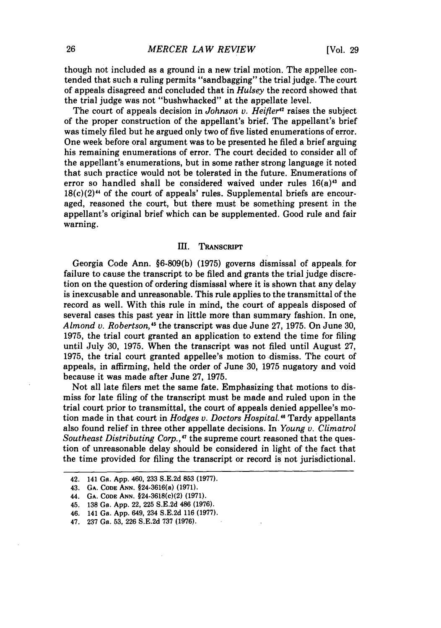though not included as a ground in a new trial motion. The appellee contended that such a ruling permits "sandbagging" the trial judge. The court of appeals disagreed and concluded that in *Hulsey* the record showed that the trial judge was not "bushwhacked" at the appellate level.

The court of appeals decision in *Johnson v. Heifter<sup>42</sup>* raises the subject of the proper construction of the appellant's brief. The appellant's brief was timely filed but he argued only two of five listed enumerations of error. One week before oral argument was to be presented he filed a brief arguing his remaining enumerations of error. The court decided to consider all of the appellant's enumerations, but in some rather strong language it noted that such practice would not be tolerated in the future. Enumerations of error so handled shall be considered waived under rules  $16(a)^{43}$  and  $18(c)(2)^{44}$  of the court of appeals' rules. Supplemental briefs are encouraged, reasoned the court, but there must be something present in the appellant's original brief which can be supplemented. Good rule and fair warning.

#### III. TRANSCRIPT

Georgia Code Ann. **§6-809(b) (1975)** governs dismissal of appeals. for failure to cause the transcript to be filed and grants the trial judge discretion on the question of ordering dismissal where it is shown that any delay is inexcusable and unreasonable. This rule applies to the transmittal of the record as well. With this rule in mind, the court of appeals disposed of several cases this past year in little more than summary fashion. In one, *Almond v. Robertson,5* the transcript was due June **27, 1975.** On June **30, 1975,** the trial court granted an application to extend the time for filing until July **30, 1975.** When the transcript was not filed until August **27, 1975,** the trial court granted appellee's motion to dismiss. The court of appeals, in affirming, held the order of June **30, 1975** nugatory and void because it was made after June **27, 1975.**

Not all late filers met the same fate. Emphasizing that motions to dismiss for late filing of the transcript must be made and ruled upon in the trial court prior to transmittal, the court of appeals denied appellee's motion made in that court in *Hodges v. Doctors Hospital."* Tardy appellants also found relief in three other appellate decisions. In *Young v. Climatrol Southeast Distributing Corp.,*<sup>47</sup> the supreme court reasoned that the question of unreasonable delay should be considered in light of the fact that the time provided for filing the transcript or record is not jurisdictional.

<sup>42. 141</sup> Ga. **App.** 460, **233 S.E.2d 853 (1977).**

<sup>43.</sup> **GA. CODE ANN.** §24-3616(a) **(1971).**

<sup>44.</sup> **GA. CODE ANN. §24-3618(c)(2) (1971).**

**<sup>45.</sup> 138** Ga. **App.** 22, **225 S.E.2d** 486 **(1976).**

**<sup>46.</sup>** 141 Ga. **App.** 649, 234 **S.E.2d 116 (1977).**

<sup>47.</sup> **237** Ga. **53, 226 S.E.2d 737 (1976).**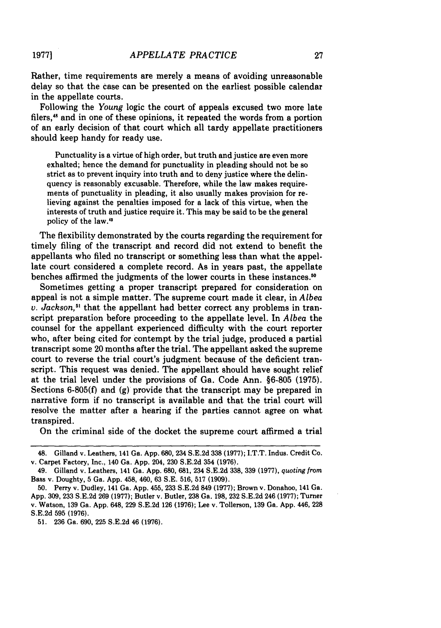Rather, time requirements are merely a means of avoiding unreasonable delay so that the case can be presented on the earliest possible calendar in the appellate courts.

Following the *Young* logic the court of appeals excused two more late filers,<sup>48</sup> and in one of these opinions, it repeated the words from a portion of an early decision of that court which all tardy appellate practitioners should keep handy for ready use.

Punctuality is a virtue of high order, but truth and justice are even more exhalted; hence the demand for punctuality in pleading should not be so strict as to prevent inquiry into truth and to deny justice where the delinquency is reasonably excusable. Therefore, while the law makes requirements of punctuality in pleading, it also usually makes provision for relieving against the penalties imposed for a lack of this virtue, when the interests of truth and justice require it. This may be said to be the general policy of the law."

The flexibility demonstrated by the courts regarding the requirement for timely filing of the transcript and record did not extend to benefit the appellants who filed no transcript or something less than what the appellate court considered a complete record. As in years past, the appellate benches affirmed the judgments of the lower courts in these instances. <sup>0</sup>

Sometimes getting a proper transcript prepared for consideration on appeal is not a simple matter. The supreme court made it clear, in *Albea v. Jackson*,<sup>51</sup> that the appellant had better correct any problems in transcript preparation before proceeding to the appellate level. In *Albea* the counsel for the appellant experienced difficulty with the court reporter who, after being cited for contempt by the trial judge, produced a partial transcript some 20 months after the trial. The appellant asked the supreme court to reverse the trial court's judgment because of the deficient transcript. This request was denied. The appellant should have sought relief at the trial level under the provisions of Ga. Code Ann. §6-805 (1975). Sections 6-805(f) and **(g)** provide that the transcript may be prepared in narrative form if no transcript is available and that the trial court will resolve the matter after a hearing if the parties cannot agree on what transpired.

On the criminal side of the docket the supreme court affirmed a trial

**19771**

<sup>48.</sup> Gilland v. Leathers, 141 Ga. **App. 680, 234 S.E.2d 338 (1977);** I.T.T. Indus. Credit Co. v. Carpet Factory, Inc., 140 Ga. **App.** 204, **230 S.E.2d** 354 **(1976).**

<sup>49.</sup> Gilland v. Leathers, 141 Ga. **App.** 680, 681, 234 **S.E.2d 338, 339 (1977),** *quoting from* Bass v. Doughty, **5** Ga. **App.** 458, 460, **63 S.E. 516, 517 (1909).**

**<sup>50.</sup>** Perry v. Dudley, 141 Ga. **App.** 455, **233 S.E.2d 849 (1977);** Brown v. Donahoo, 141 Ga. **App. 309, 233 S.E.2d 269 (1977);** Butler v. Butler, **238** Ga. **198, 232 S.E.2d** 246 **(1977);** Turner v. Watson, **139** Ga. **App.** 648, **229 S.E.2d 126 (1976);** Lee v. Tollerson, **139** Ga. **App.** 446, **228 S.E.2d 595 (1976).**

**<sup>51. 236</sup>** Ga. **690, 225 S.E.2d** 46 **(1976).**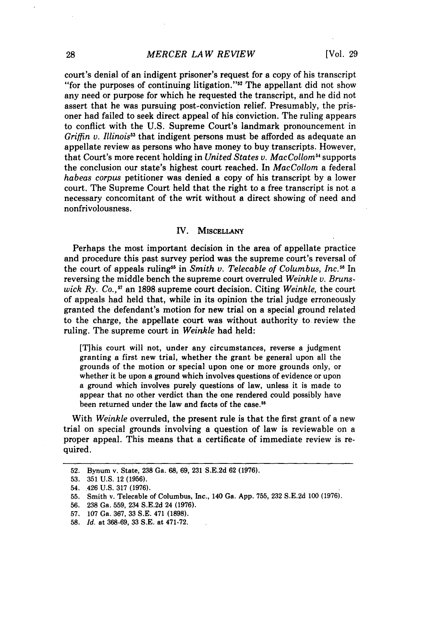court's denial of an indigent prisoner's request for a copy of his transcript "for the purposes of continuing litigation."<sup>52</sup> The appellant did not show any need or purpose for which he requested the transcript, and he did not assert that he was pursuing post-conviction relief. Presumably, the prisoner had failed to seek direct appeal of his conviction. The ruling appears to conflict with the **U.S.** Supreme Court's landmark pronouncement in *Griffin v. Illinois"* that indigent persons must be afforded as adequate an appellate review as persons who have money to buy transcripts. However, that Court's more recent'holding in *United States v. MacCollom5 "* supports the conclusion our state's highest court reached. In *MacCollom* a federal *habeas corpus* petitioner was denied a copy of his transcript **by** a lower court. The Supreme Court held that the right to a free transcript is not a necessary concomitant of the writ without a direct showing of need and nonfrivolousness.

#### IV. **MISCELLANY**

Perhaps the most important decision in the area of appellate practice and procedure this past survey period was the supreme court's reversal of the court of appeals ruling<sup>55</sup> in *Smith v. Telecable of Columbus, Inc.*<sup>56</sup> In reversing the middle bench the supreme court overruled *Weinkle* v. *Brunswick* Ry. *Co.,57* an 1898 supreme court decision. Citing *Weinkle,* the court of appeals had held that, while in its opinion the trial judge erroneously granted the defendant's motion for new trial on a special ground related to the charge, the appellate court was without authority to review the ruling. The supreme court in *Weinkle* had held:

[T]his court will not, under any circumstances, reverse a judgment granting a first new trial, whether the grant be general upon all the grounds of the motion or special upon one or more grounds only, or whether it be upon a ground which involves questions of evidence or upon a ground which involves purely questions of law, unless it is made to appear that no other verdict than the one rendered could possibly have been returned under the law and facts of the case.<sup>58</sup>

With *Weinkle* overruled, the present rule is that the first grant of a new trial on special grounds involving a question of law is reviewable on a proper appeal. This means that a certificate of immediate review is required.

**56. 238** Ga. **559,** 234 **S.E.2d** 24 **(1976).**

**<sup>52.</sup>** Bynum v. State, **238** Ga. **68, 69, 231** S.E.2d 62 **(1976).**

**<sup>53. 351</sup> U.S.** 12 **(1956).**

<sup>54. 426</sup> **U.S. 317 (1976).**

**<sup>55.</sup>** Smith v. Telecable of Columbus, Inc., 140 Ga. **App. 755, 232 S.E.2d 100 (1976).**

**<sup>57. 107</sup>** Ga. **367, 33 S.E.** 471 **(1898).**

**<sup>58.</sup>** *Id.* at **368-69, 33** S.E. at **471-72.**